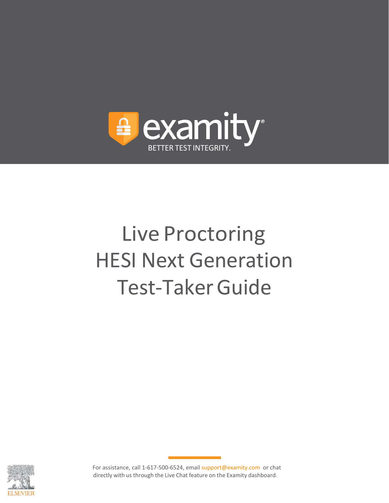

# Live Proctoring HESI Next Generation Test-Taker Guide

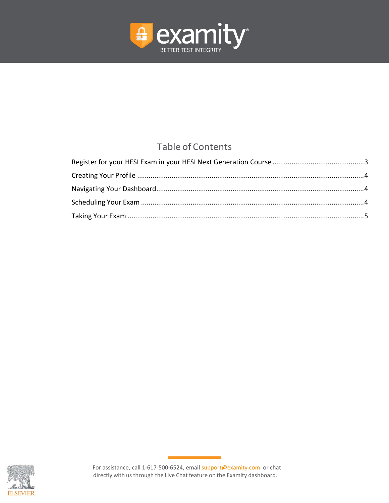

# Table of Contents

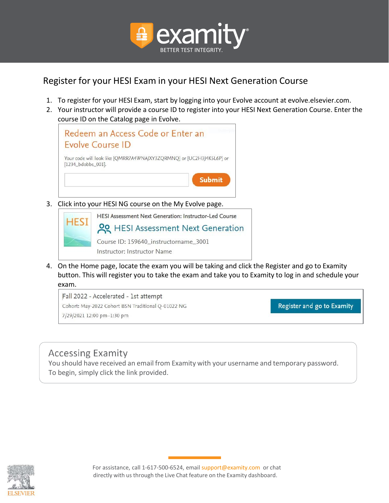

# <span id="page-2-0"></span>Register for your HESI Exam in your HESI Next Generation Course

- 1. To register for your HESI Exam, start by logging into your Evolve account at evolve.elsevier.com.
- 2. Your instructor will provide a course ID to register into your HESI Next Generation Course. Enter the course ID on the Catalog page in Evolve.



3. Click into your HESI NG course on the My Evolve page.



4. On the Home page, locate the exam you will be taking and click the Register and go to Examity button. This will register you to take the exam and take you to Examity to log in and schedule your exam.

Fall 2022 - Accelerated - 1st attempt Cohort: May-2022 Cohort BSN Traditional Q-01022 NG 7/29/2021 12:00 pm-1:30 pm

Register and go to Examity

# **Accessing Examity**

You should have received an email from Examity with your username and temporary password. To begin, simply click the link provided.

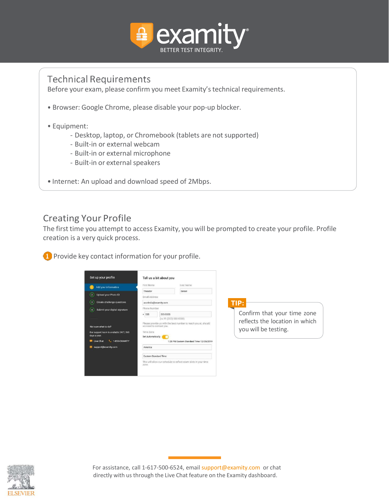

### **Technical Requirements**

Before your exam, please confirm you meet Examity's technical requirements.

- Browser: Google Chrome, please disable your pop-up blocker.
- Equipment:
	- Desktop, laptop, or Chromebook (tablets are not supported)
	- Built-in or external webcam
	- Built-in or external microphone
	- Built-in or external speakers
- Internet: An upload and download speed of 2Mbps.

#### <span id="page-3-0"></span>Creating Your Profile

The first time you attempt to access Examity, you will be prompted to create your profile. Profile creation is a very quick process.

**1** Provide key contact information for your profile.

|                                                       | First Name        |                              | Last Name                                                       |                                |
|-------------------------------------------------------|-------------------|------------------------------|-----------------------------------------------------------------|--------------------------------|
| Add your information                                  |                   |                              |                                                                 |                                |
| Upload your Photo ID<br>(2)                           | <b>Theodor</b>    |                              | Geisel                                                          |                                |
|                                                       | Email Address     |                              |                                                                 |                                |
| <b>Create challenge questions</b><br>$\left(3\right)$ |                   | acorindia@examity.com        |                                                                 | TIP:                           |
| Submit your digital signature<br>$\left( 4 \right)$   |                   | Phone Number                 |                                                                 |                                |
|                                                       | $+ 555$           | 555-5555                     |                                                                 | Confirm that your time zone    |
|                                                       |                   | (ex:91-(202)-000-0000)       |                                                                 | reflects the location in which |
| Not sure what to do?                                  |                   | we need to contact you.      | Please provide us with the best number to reach you at, should  |                                |
| Our support team is available 24/7, 365               | Time Zone         |                              |                                                                 | you will be testing.           |
| days a year.                                          | Set Automatically |                              |                                                                 |                                |
| Live Chat<br><b>L. 1-855-EXAMITY</b>                  |                   |                              | 1:28 PM Eastern Standard Time 12/30/2019                        |                                |
| support@examity.com                                   | America           |                              |                                                                 |                                |
|                                                       |                   | <b>Eastern Standard Time</b> |                                                                 |                                |
|                                                       |                   |                              | This will allow our schedule to reflect exam slots in your time |                                |

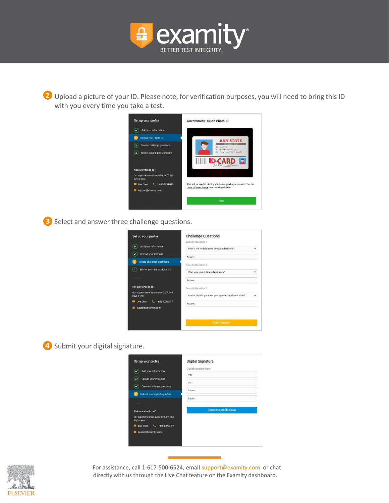

2 Upload a picture of your ID. Please note, for verification purposes, you will need to bring this ID with you every time you take a test.



**3** Select and answer three challenge questions.

| Set up your profile                                     | <b>Challenge Questions</b>                               |
|---------------------------------------------------------|----------------------------------------------------------|
|                                                         | Security Question 1                                      |
| Add your information                                    | What is the middle name of your oldest child?            |
| Upload your Photo ID                                    | Answer                                                   |
| <b>Create challenge questions</b>                       | Security Question 2                                      |
| Submit your digital signature                           | What was your childhood nickname?<br>$\checkmark$        |
|                                                         | Answer                                                   |
| Not sure what to do?                                    | Security Question 3                                      |
| Our support team is available 24/7, 365<br>days a year. | In what city did you meet your spouse/significant other? |
| Live Chat<br>u<br>1-855-EXAMITY                         | Answer                                                   |
| support@examity.com                                     |                                                          |
|                                                         |                                                          |
|                                                         | Save Changes                                             |

#### 4 Submit your digital signature.



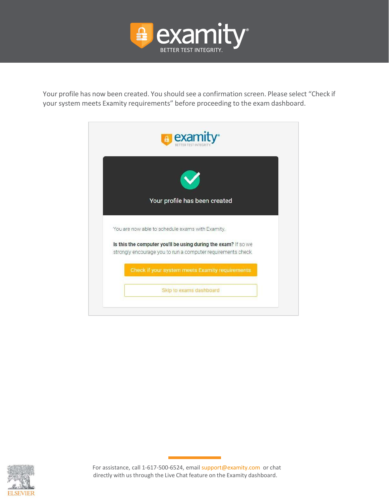

Your profile has now been created. You should see a confirmation screen. Please select "Check if your system meets Examity requirements" before proceeding to the exam dashboard.



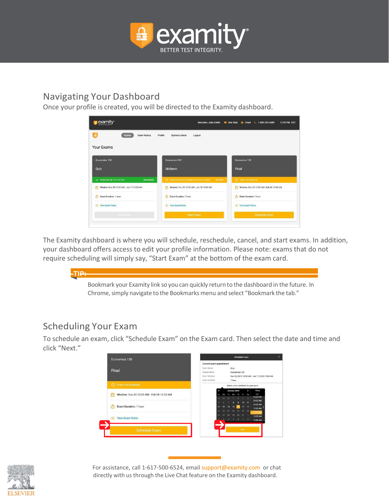

## <span id="page-6-0"></span>Navigating Your Dashboard

Once your profile is created, you will be directed to the Examity dashboard.

| examity <sup>®</sup>                         | Welcome, John Smith                                             | Live Chat <b>25 Email L</b> 1-855-392-6489<br>12:59 PM EST |
|----------------------------------------------|-----------------------------------------------------------------|------------------------------------------------------------|
| A<br><b>Exam history</b><br>Profile<br>Exams | Systems check<br>Logout                                         |                                                            |
| Your Exams                                   |                                                                 |                                                            |
| Economics 120                                | Economics 120                                                   | Economics 120                                              |
| Quiz                                         | Midterm                                                         | Final                                                      |
| Scheduled Jan 16 01:30 AM<br>Reschedule      | (2) Would you like to schedule your exam for later?<br>Schedule | (i) Exam not scheduled                                     |
| Window: Dec 30 12:00 AM - Jan 17 12:00 AM    | Window: Dec 30 12:00 AM - Jan 18 12:00 AM                       | Window: Dec 30 12:00 AM - Feb 08 12:00 AM                  |
| Exam Duration: 1 hour<br>$\sigma$            | Exam Duration: 1 hour<br>Ğ١                                     | Exam Duration: 1 hour<br>n.                                |
| View Exam Rules                              | View Exam Rules                                                 | View Exam Rules                                            |
| Start Exam                                   | <b>Start Exam</b>                                               | <b>Schedule Exam</b>                                       |

The Examity dashboard is where you will schedule, reschedule, cancel, and start exams. In addition, your dashboard offers access to edit your profile information. Please note: exams that do not require scheduling will simply say, "Start Exam" at the bottom of the exam card.



## <span id="page-6-1"></span>Scheduling Your Exam

To schedule an exam, click "Schedule Exam" on the Exam card. Then select the date and time and click "Next."



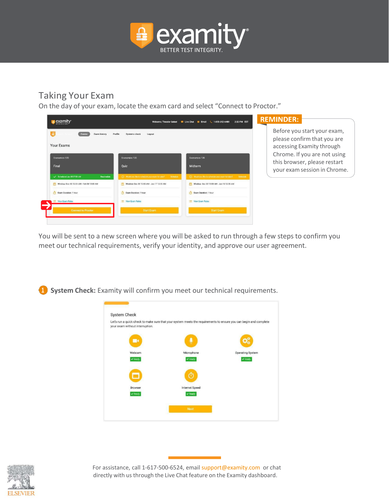

## <span id="page-7-0"></span>Taking Your Exam

On the day of your exam, locate the exam card and select "Connect to Proctor."



You will be sent to a new screen where you will be asked to run through a few steps to confirm you meet our technical requirements, verify your identity, and approve our user agreement.





For assistance, call 1-617-500-6524, emai[l support@examity.com](mailto:support@examity.com) or chat directly with us through the Live Chat feature on the Examity dashboard.

**System Check:** Examity will confirm you meet our technical requirements.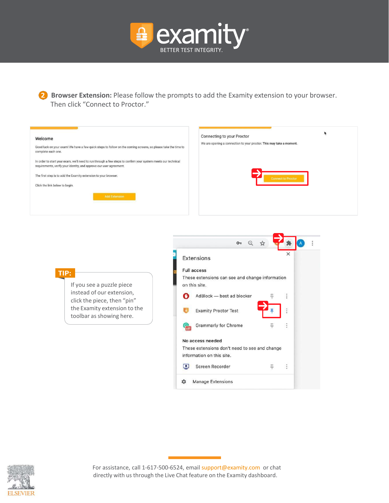

**2** Browser Extension: Please follow the prompts to add the Examity extension to your browser. Then click "Connect to Proctor."

| Welcome<br>Good luck on your exam! We have a few quick steps to follow on the coming screens, so please take the time to<br>complete each one.<br>In order to start your exam, we'll need to run through a few steps to confirm your system meets our technical<br>requirements, verify your identity, and approve our user agreement.<br>The first step is to add the Examity extension to your browser.<br>Click the link below to begin.<br><b>Add Extension</b> | ٠<br>Connecting to your Proctor<br>We are opening a connection to your proctor. This may take a moment.<br><b>Connect to Proctor</b>                                                                                                                                                                                                                                                                    |
|---------------------------------------------------------------------------------------------------------------------------------------------------------------------------------------------------------------------------------------------------------------------------------------------------------------------------------------------------------------------------------------------------------------------------------------------------------------------|---------------------------------------------------------------------------------------------------------------------------------------------------------------------------------------------------------------------------------------------------------------------------------------------------------------------------------------------------------------------------------------------------------|
| TIP:<br>If you see a puzzle piece<br>instead of our extension,<br>click the piece, then "pin"<br>the Examity extension to the<br>toolbar as showing here.                                                                                                                                                                                                                                                                                                           | $O_T$<br>$\Theta$<br>Extensions<br><b>Full access</b><br>These extensions can see and change information<br>on this site.<br>AdBlock - best ad blocker<br><b>Examity Proctor Test</b><br><b>Grammarly for Chrome</b><br>Д<br>No access needed<br>These extensions don't need to see and change<br>information on this site.<br>$\blacksquare$<br>Screen Recorder<br>ņ.<br><b>Manage Extensions</b><br>☆ |

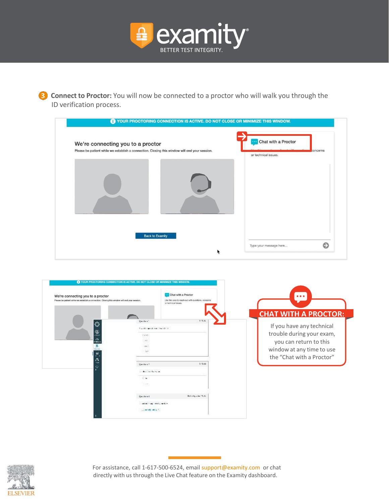

**B** Connect to Proctor: You will now be connected to a proctor who will walk you through the ID verification process.

|                                                                                               | Chat with a Proctor                 |
|-----------------------------------------------------------------------------------------------|-------------------------------------|
| We're connecting you to a proctor                                                             |                                     |
| Please be patient while we establish a connection. Closing this window will end your session. | concerns<br>or technical issues.    |
| <b>Back to Examity</b>                                                                        |                                     |
|                                                                                               | $\bullet$<br>Type your message here |